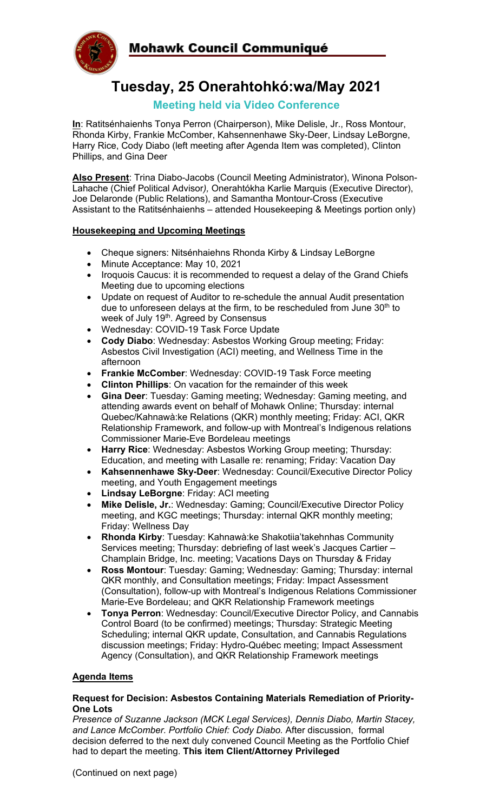Mohawk Council Communiqué



# **Tuesday, 25 Onerahtohkó:wa/May 2021**

### **Meeting held via Video Conference**

**In**: Ratitsénhaienhs Tonya Perron (Chairperson), Mike Delisle, Jr., Ross Montour, Rhonda Kirby, Frankie McComber, Kahsennenhawe Sky-Deer, Lindsay LeBorgne, Harry Rice, Cody Diabo (left meeting after Agenda Item was completed), Clinton Phillips, and Gina Deer

**Also Present**: Trina Diabo-Jacobs (Council Meeting Administrator), Winona Polson-Lahache (Chief Political Advisor*),* Onerahtókha Karlie Marquis (Executive Director), Joe Delaronde (Public Relations), and Samantha Montour-Cross (Executive Assistant to the Ratitsénhaienhs – attended Housekeeping & Meetings portion only)

#### **Housekeeping and Upcoming Meetings**

- Cheque signers: Nitsénhaiehns Rhonda Kirby & Lindsay LeBorgne
- Minute Acceptance: May 10, 2021
- Iroquois Caucus: it is recommended to request a delay of the Grand Chiefs Meeting due to upcoming elections
- Update on request of Auditor to re-schedule the annual Audit presentation due to unforeseen delays at the firm, to be rescheduled from June  $30<sup>th</sup>$  to week of July 19<sup>th</sup>. Agreed by Consensus
- Wednesday: COVID-19 Task Force Update
- **Cody Diabo**: Wednesday: Asbestos Working Group meeting; Friday: Asbestos Civil Investigation (ACI) meeting, and Wellness Time in the afternoon
- **Frankie McComber**: Wednesday: COVID-19 Task Force meeting
- **Clinton Phillips**: On vacation for the remainder of this week
- **Gina Deer**: Tuesday: Gaming meeting; Wednesday: Gaming meeting, and attending awards event on behalf of Mohawk Online; Thursday: internal Quebec/Kahnawà:ke Relations (QKR) monthly meeting; Friday: ACI, QKR Relationship Framework, and follow-up with Montreal's Indigenous relations Commissioner Marie-Eve Bordeleau meetings
- **Harry Rice**: Wednesday: Asbestos Working Group meeting; Thursday: Education, and meeting with Lasalle re: renaming; Friday: Vacation Day
- **Kahsennenhawe Sky-Deer**: Wednesday: Council/Executive Director Policy meeting, and Youth Engagement meetings
- **Lindsay LeBorgne**: Friday: ACI meeting
- **Mike Delisle, Jr.**: Wednesday: Gaming; Council/Executive Director Policy meeting, and KGC meetings; Thursday: internal QKR monthly meeting; Friday: Wellness Day
- **Rhonda Kirby**: Tuesday: Kahnawà:ke Shakotiia'takehnhas Community Services meeting; Thursday: debriefing of last week's Jacques Cartier – Champlain Bridge, Inc. meeting; Vacations Days on Thursday & Friday
- **Ross Montour**: Tuesday: Gaming; Wednesday: Gaming; Thursday: internal QKR monthly, and Consultation meetings; Friday: Impact Assessment (Consultation), follow-up with Montreal's Indigenous Relations Commissioner Marie-Eve Bordeleau; and QKR Relationship Framework meetings
- **Tonya Perron**: Wednesday: Council/Executive Director Policy, and Cannabis Control Board (to be confirmed) meetings; Thursday: Strategic Meeting Scheduling; internal QKR update, Consultation, and Cannabis Regulations discussion meetings; Friday: Hydro-Québec meeting; Impact Assessment Agency (Consultation), and QKR Relationship Framework meetings

#### **Agenda Items**

#### **Request for Decision: Asbestos Containing Materials Remediation of Priority-One Lots**

*Presence of Suzanne Jackson (MCK Legal Services), Dennis Diabo, Martin Stacey, and Lance McComber. Portfolio Chief: Cody Diabo.* After discussion, formal decision deferred to the next duly convened Council Meeting as the Portfolio Chief had to depart the meeting. **This item Client/Attorney Privileged**